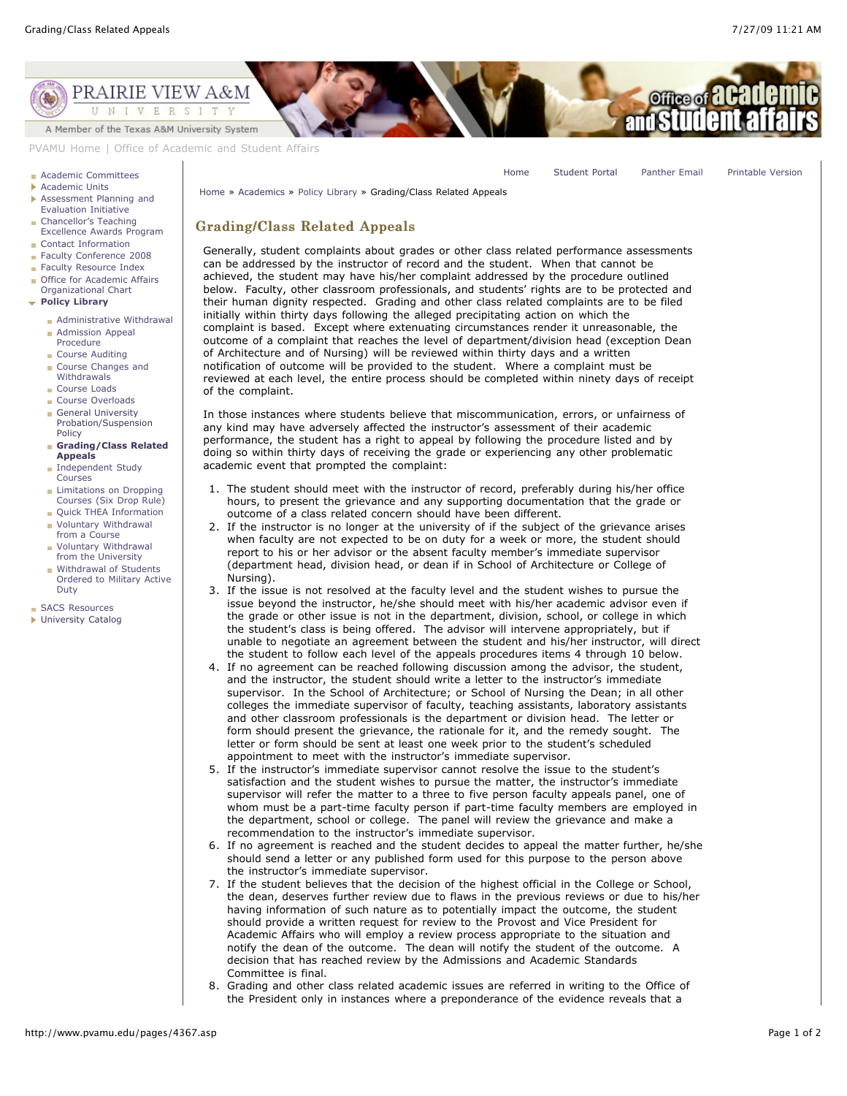[Home](http://www.pvamu.edu/pages/1.asp) [Student Portal](http://panthertracks.pvamu.edu/) [Panther Email](http://www.pvamu.edu/pages/1740.asp) [Printable Version](http://www.pvamu.edu/print/4367.asp)



[PVAMU Home](http://www.pvamu.edu/pages/1.asp) | [Office of Academic and Student Affairs](http://www.pvamu.edu/pages/116.asp)

## **[Academic Committees](http://www.pvamu.edu/pages/232.asp)**

- [Academic Units](http://www.pvamu.edu/pages/228.asp)
- [Assessment Planning and](http://www.pvamu.edu/pages/4921.asp) Evaluation Initiative
- Chancellor's Teaching [Excellence Awards Program](http://www.pvamu.edu/pages/4857.asp) ■ [Contact Information](http://www.pvamu.edu/pages/227.asp)
- [Faculty Conference 2008](http://www.pvamu.edu/pages/4853.asp)
- [Faculty Resource Index](http://www.pvamu.edu/pages/233.asp)
- [Office for Academic Affairs](http://www.pvamu.edu/pages/3819.asp)
- Organizational Chart
- **[Policy Library](http://www.pvamu.edu/pages/4366.asp)**
	- **[Administrative Withdrawal](http://www.pvamu.edu/pages/4383.asp)**
	- **[Admission Appeal](http://www.pvamu.edu/pages/4372.asp)** Procedure
	- [Course Auditing](http://www.pvamu.edu/pages/4377.asp)
	- [Course Changes and](http://www.pvamu.edu/pages/4378.asp) Withdrawals
	- [Course Loads](http://www.pvamu.edu/pages/4374.asp)
	- [Course Overloads](http://www.pvamu.edu/pages/4375.asp)
	- General University [Probation/Suspension](http://www.pvamu.edu/pages/4382.asp) Policy

## **[Grading/Class Related](http://www.pvamu.edu/pages/4367.asp) Appeals**

- **[Independent Study](http://www.pvamu.edu/pages/4376.asp)** Courses
- **Limitations on Dropping** [Courses \(Six Drop Rule\)](http://www.pvamu.edu/pages/4702.asp)
- **[Quick THEA Information](http://www.pvamu.edu/pages/4373.asp)**
- [Voluntary Withdrawal](http://www.pvamu.edu/pages/4380.asp) from a Course
- [Voluntary Withdrawal](http://www.pvamu.edu/pages/4379.asp) from the University
- **Withdrawal of Students** [Ordered to Military Active](http://www.pvamu.edu/pages/4381.asp) Duty

[SACS Resources](http://www.pvamu.edu/pages/4041.asp)

**I** [University Catalog](http://www.pvamu.edu/pages/231.asp)

[Home](http://www.pvamu.edu/pages/1.asp) » [Academics](http://www.pvamu.edu/pages/116.asp) » [Policy Library](http://www.pvamu.edu/pages/4366.asp) » Grading/Class Related Appeals

## Grading/Class Related Appeals Grading/Class Related Appeals

Generally, student complaints about grades or other class related performance assessments can be addressed by the instructor of record and the student. When that cannot be achieved, the student may have his/her complaint addressed by the procedure outlined below. Faculty, other classroom professionals, and students' rights are to be protected and their human dignity respected. Grading and other class related complaints are to be filed initially within thirty days following the alleged precipitating action on which the complaint is based. Except where extenuating circumstances render it unreasonable, the outcome of a complaint that reaches the level of department/division head (exception Dean of Architecture and of Nursing) will be reviewed within thirty days and a written notification of outcome will be provided to the student. Where a complaint must be reviewed at each level, the entire process should be completed within ninety days of receipt of the complaint.

In those instances where students believe that miscommunication, errors, or unfairness of any kind may have adversely affected the instructor's assessment of their academic performance, the student has a right to appeal by following the procedure listed and by doing so within thirty days of receiving the grade or experiencing any other problematic academic event that prompted the complaint:

- 1. The student should meet with the instructor of record, preferably during his/her office hours, to present the grievance and any supporting documentation that the grade or outcome of a class related concern should have been different.
- 2. If the instructor is no longer at the university of if the subject of the grievance arises when faculty are not expected to be on duty for a week or more, the student should report to his or her advisor or the absent faculty member's immediate supervisor (department head, division head, or dean if in School of Architecture or College of Nursing).
- 3. If the issue is not resolved at the faculty level and the student wishes to pursue the issue beyond the instructor, he/she should meet with his/her academic advisor even if the grade or other issue is not in the department, division, school, or college in which the student's class is being offered. The advisor will intervene appropriately, but if unable to negotiate an agreement between the student and his/her instructor, will direct the student to follow each level of the appeals procedures items 4 through 10 below.
- 4. If no agreement can be reached following discussion among the advisor, the student, and the instructor, the student should write a letter to the instructor's immediate supervisor. In the School of Architecture; or School of Nursing the Dean; in all other colleges the immediate supervisor of faculty, teaching assistants, laboratory assistants and other classroom professionals is the department or division head. The letter or form should present the grievance, the rationale for it, and the remedy sought. The letter or form should be sent at least one week prior to the student's scheduled appointment to meet with the instructor's immediate supervisor.
- 5. If the instructor's immediate supervisor cannot resolve the issue to the student's satisfaction and the student wishes to pursue the matter, the instructor's immediate supervisor will refer the matter to a three to five person faculty appeals panel, one of whom must be a part-time faculty person if part-time faculty members are employed in the department, school or college. The panel will review the grievance and make a recommendation to the instructor's immediate supervisor.
- 6. If no agreement is reached and the student decides to appeal the matter further, he/she should send a letter or any published form used for this purpose to the person above the instructor's immediate supervisor.
- 7. If the student believes that the decision of the highest official in the College or School, the dean, deserves further review due to flaws in the previous reviews or due to his/her having information of such nature as to potentially impact the outcome, the student should provide a written request for review to the Provost and Vice President for Academic Affairs who will employ a review process appropriate to the situation and notify the dean of the outcome. The dean will notify the student of the outcome. A decision that has reached review by the Admissions and Academic Standards Committee is final.
- 8. Grading and other class related academic issues are referred in writing to the Office of the President only in instances where a preponderance of the evidence reveals that a